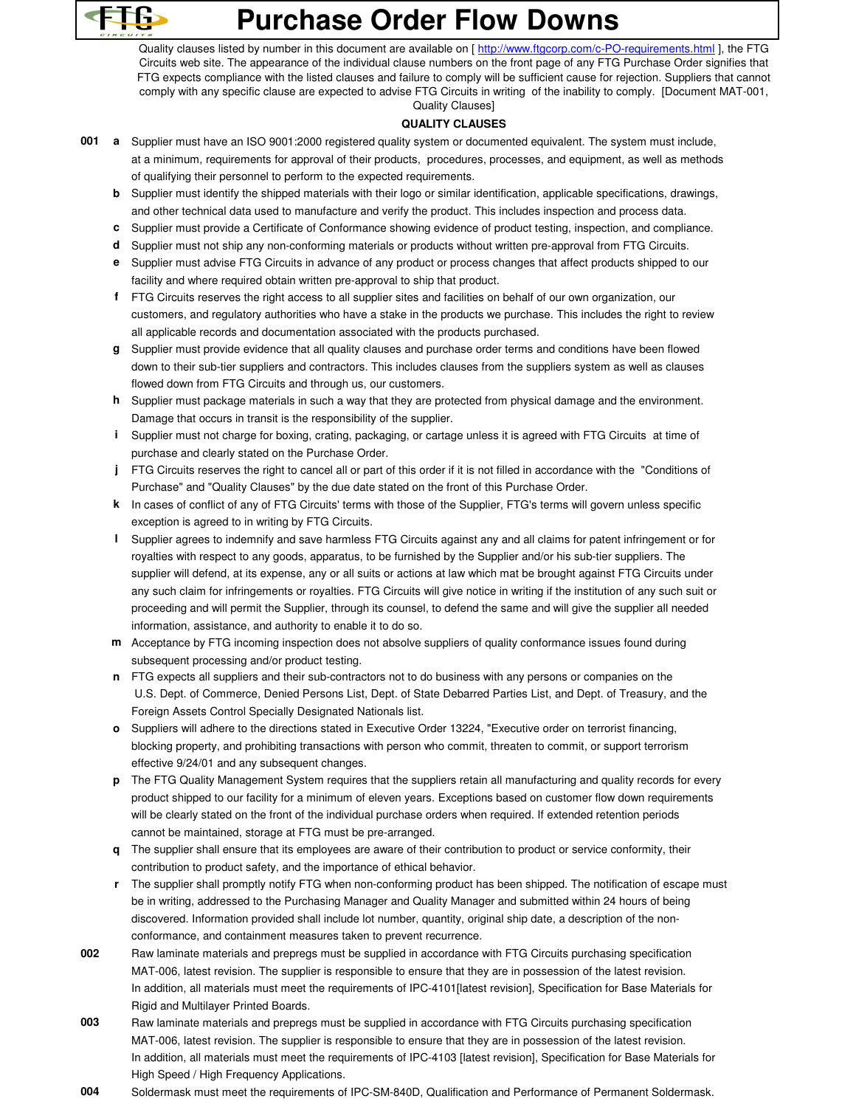

## **Purchase Order Flow Downs**

Quality clauses listed by number in this document are available on [ http://www.ftgcorp.com/c-PO-requirements.html ], the FTG Circuits web site. The appearance of the individual clause numbers on the front page of any FTG Purchase Order signifies that FTG expects compliance with the listed clauses and failure to comply will be sufficient cause for rejection. Suppliers that cannot comply with any specific clause are expected to advise FTG Circuits in writing of the inability to comply. [Document MAT-001, Quality Clauses]

## **QUALITY CLAUSES**

- **001 a** Supplier must have an ISO 9001:2000 registered quality system or documented equivalent. The system must include, at a minimum, requirements for approval of their products, procedures, processes, and equipment, as well as methods of qualifying their personnel to perform to the expected requirements.
	- **b** Supplier must identify the shipped materials with their logo or similar identification, applicable specifications, drawings, and other technical data used to manufacture and verify the product. This includes inspection and process data.
	- **c** Supplier must provide a Certificate of Conformance showing evidence of product testing, inspection, and compliance.
	- **d** Supplier must not ship any non-conforming materials or products without written pre-approval from FTG Circuits.
	- **e** Supplier must advise FTG Circuits in advance of any product or process changes that affect products shipped to our facility and where required obtain written pre-approval to ship that product.
	- **f** FTG Circuits reserves the right access to all supplier sites and facilities on behalf of our own organization, our customers, and regulatory authorities who have a stake in the products we purchase. This includes the right to review all applicable records and documentation associated with the products purchased.
	- **g** Supplier must provide evidence that all quality clauses and purchase order terms and conditions have been flowed down to their sub-tier suppliers and contractors. This includes clauses from the suppliers system as well as clauses flowed down from FTG Circuits and through us, our customers.
	- **h** Supplier must package materials in such a way that they are protected from physical damage and the environment. Damage that occurs in transit is the responsibility of the supplier.
	- **i** Supplier must not charge for boxing, crating, packaging, or cartage unless it is agreed with FTG Circuits at time of purchase and clearly stated on the Purchase Order.
	- **j** FTG Circuits reserves the right to cancel all or part of this order if it is not filled in accordance with the "Conditions of Purchase" and "Quality Clauses" by the due date stated on the front of this Purchase Order.
	- **k** In cases of conflict of any of FTG Circuits' terms with those of the Supplier, FTG's terms will govern unless specific exception is agreed to in writing by FTG Circuits.
	- **l** Supplier agrees to indemnify and save harmless FTG Circuits against any and all claims for patent infringement or for royalties with respect to any goods, apparatus, to be furnished by the Supplier and/or his sub-tier suppliers. The supplier will defend, at its expense, any or all suits or actions at law which mat be brought against FTG Circuits under any such claim for infringements or royalties. FTG Circuits will give notice in writing if the institution of any such suit or proceeding and will permit the Supplier, through its counsel, to defend the same and will give the supplier all needed information, assistance, and authority to enable it to do so.
	- **m** Acceptance by FTG incoming inspection does not absolve suppliers of quality conformance issues found during subsequent processing and/or product testing.
	- **n** FTG expects all suppliers and their sub-contractors not to do business with any persons or companies on the U.S. Dept. of Commerce, Denied Persons List, Dept. of State Debarred Parties List, and Dept. of Treasury, and the Foreign Assets Control Specially Designated Nationals list.
	- **o** Suppliers will adhere to the directions stated in Executive Order 13224, "Executive order on terrorist financing, blocking property, and prohibiting transactions with person who commit, threaten to commit, or support terrorism effective 9/24/01 and any subsequent changes.
	- **p** The FTG Quality Management System requires that the suppliers retain all manufacturing and quality records for every product shipped to our facility for a minimum of eleven years. Exceptions based on customer flow down requirements will be clearly stated on the front of the individual purchase orders when required. If extended retention periods cannot be maintained, storage at FTG must be pre-arranged.
	- **q** The supplier shall ensure that its employees are aware of their contribution to product or service conformity, their contribution to product safety, and the importance of ethical behavior.
	- **r** The supplier shall promptly notify FTG when non-conforming product has been shipped. The notification of escape must be in writing, addressed to the Purchasing Manager and Quality Manager and submitted within 24 hours of being discovered. Information provided shall include lot number, quantity, original ship date, a description of the nonconformance, and containment measures taken to prevent recurrence.
- **002** Raw laminate materials and prepregs must be supplied in accordance with FTG Circuits purchasing specification MAT-006, latest revision. The supplier is responsible to ensure that they are in possession of the latest revision. In addition, all materials must meet the requirements of IPC-4101[latest revision], Specification for Base Materials for Rigid and Multilayer Printed Boards.
- **003** Raw laminate materials and prepregs must be supplied in accordance with FTG Circuits purchasing specification MAT-006, latest revision. The supplier is responsible to ensure that they are in possession of the latest revision. In addition, all materials must meet the requirements of IPC-4103 [latest revision], Specification for Base Materials for High Speed / High Frequency Applications.
- **004** Soldermask must meet the requirements of IPC-SM-840D, Qualification and Performance of Permanent Soldermask.